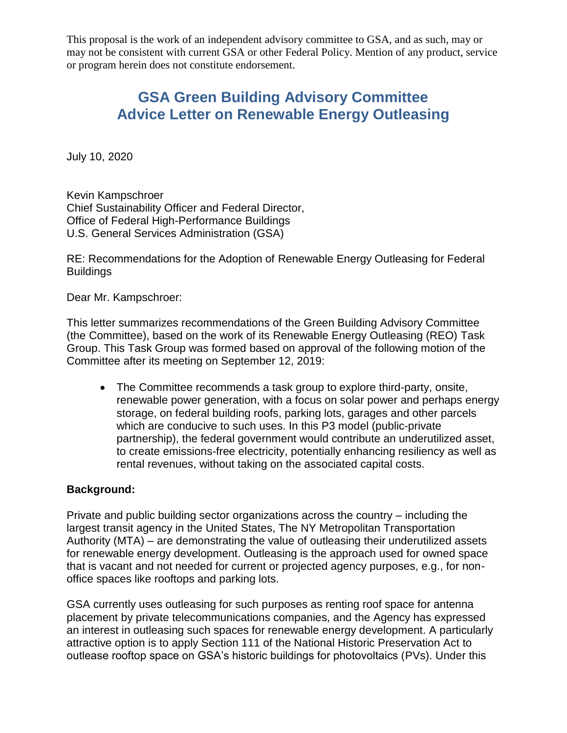This proposal is the work of an independent advisory committee to GSA, and as such, may or may not be consistent with current GSA or other Federal Policy. Mention of any product, service or program herein does not constitute endorsement.

# **GSA Green Building Advisory Committee Advice Letter on Renewable Energy Outleasing**

July 10, 2020

Kevin Kampschroer Chief Sustainability Officer and Federal Director, Office of Federal High-Performance Buildings U.S. General Services Administration (GSA)

RE: Recommendations for the Adoption of Renewable Energy Outleasing for Federal **Buildings** 

Dear Mr. Kampschroer:

This letter summarizes recommendations of the Green Building Advisory Committee (the Committee), based on the work of its Renewable Energy Outleasing (REO) Task Group. This Task Group was formed based on approval of the following motion of the Committee after its meeting on September 12, 2019:

 The Committee recommends a task group to explore third-party, onsite, renewable power generation, with a focus on solar power and perhaps energy storage, on federal building roofs, parking lots, garages and other parcels which are conducive to such uses. In this P3 model (public-private partnership), the federal government would contribute an underutilized asset, to create emissions-free electricity, potentially enhancing resiliency as well as rental revenues, without taking on the associated capital costs.

### **Background:**

Private and public building sector organizations across the country – including the largest transit agency in the United States, The NY Metropolitan Transportation Authority (MTA) – are demonstrating the value of outleasing their underutilized assets for renewable energy development. Outleasing is the approach used for owned space that is vacant and not needed for current or projected agency purposes, e.g., for nonoffice spaces like rooftops and parking lots.

GSA currently uses outleasing for such purposes as renting roof space for antenna placement by private telecommunications companies, and the Agency has expressed an interest in outleasing such spaces for renewable energy development. A particularly attractive option is to apply Section 111 of the National Historic Preservation Act to outlease rooftop space on GSA's historic buildings for photovoltaics (PVs). Under this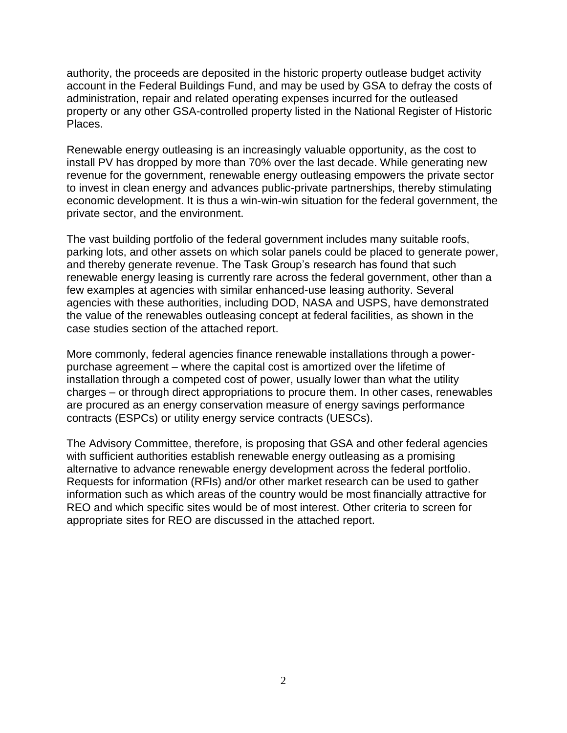authority, the proceeds are deposited in the historic property outlease budget activity account in the Federal Buildings Fund, and may be used by GSA to defray the costs of administration, repair and related operating expenses incurred for the outleased property or any other GSA-controlled property listed in the National Register of Historic Places.

Renewable energy outleasing is an increasingly valuable opportunity, as the cost to install PV has dropped by more than 70% over the last decade. While generating new revenue for the government, renewable energy outleasing empowers the private sector to invest in clean energy and advances public-private partnerships, thereby stimulating economic development. It is thus a win-win-win situation for the federal government, the private sector, and the environment.

The vast building portfolio of the federal government includes many suitable roofs, parking lots, and other assets on which solar panels could be placed to generate power, and thereby generate revenue. The Task Group's research has found that such renewable energy leasing is currently rare across the federal government, other than a few examples at agencies with similar enhanced-use leasing authority. Several agencies with these authorities, including DOD, NASA and USPS, have demonstrated the value of the renewables outleasing concept at federal facilities, as shown in the case studies section of the attached report.

More commonly, federal agencies finance renewable installations through a powerpurchase agreement – where the capital cost is amortized over the lifetime of installation through a competed cost of power, usually lower than what the utility charges – or through direct appropriations to procure them. In other cases, renewables are procured as an energy conservation measure of energy savings performance contracts (ESPCs) or utility energy service contracts (UESCs).

The Advisory Committee, therefore, is proposing that GSA and other federal agencies with sufficient authorities establish renewable energy outleasing as a promising alternative to advance renewable energy development across the federal portfolio. Requests for information (RFIs) and/or other market research can be used to gather information such as which areas of the country would be most financially attractive for REO and which specific sites would be of most interest. Other criteria to screen for appropriate sites for REO are discussed in the attached report.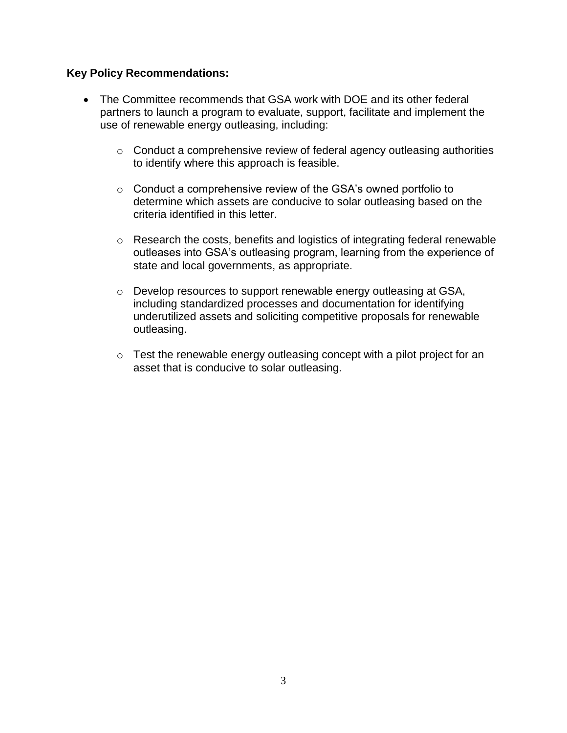### **Key Policy Recommendations:**

- The Committee recommends that GSA work with DOE and its other federal partners to launch a program to evaluate, support, facilitate and implement the use of renewable energy outleasing, including:
	- o Conduct a comprehensive review of federal agency outleasing authorities to identify where this approach is feasible.
	- o Conduct a comprehensive review of the GSA's owned portfolio to determine which assets are conducive to solar outleasing based on the criteria identified in this letter.
	- o Research the costs, benefits and logistics of integrating federal renewable outleases into GSA's outleasing program, learning from the experience of state and local governments, as appropriate.
	- o Develop resources to support renewable energy outleasing at GSA, including standardized processes and documentation for identifying underutilized assets and soliciting competitive proposals for renewable outleasing.
	- $\circ$  Test the renewable energy outleasing concept with a pilot project for an asset that is conducive to solar outleasing.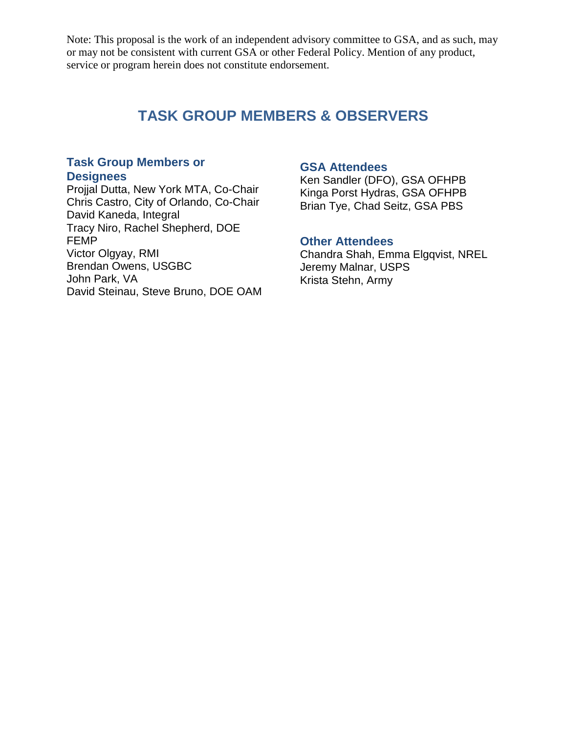Note: This proposal is the work of an independent advisory committee to GSA, and as such, may or may not be consistent with current GSA or other Federal Policy. Mention of any product, service or program herein does not constitute endorsement.

### **TASK GROUP MEMBERS & OBSERVERS**

### **Task Group Members or Designees**

Projjal Dutta, New York MTA, Co-Chair Chris Castro, City of Orlando, Co-Chair David Kaneda, Integral Tracy Niro, Rachel Shepherd, DOE FEMP Victor Olgyay, RMI Brendan Owens, USGBC John Park, VA David Steinau, Steve Bruno, DOE OAM

#### **GSA Attendees**

Ken Sandler (DFO), GSA OFHPB Kinga Porst Hydras, GSA OFHPB Brian Tye, Chad Seitz, GSA PBS

#### **Other Attendees**

Chandra Shah, Emma Elgqvist, NREL Jeremy Malnar, USPS Krista Stehn, Army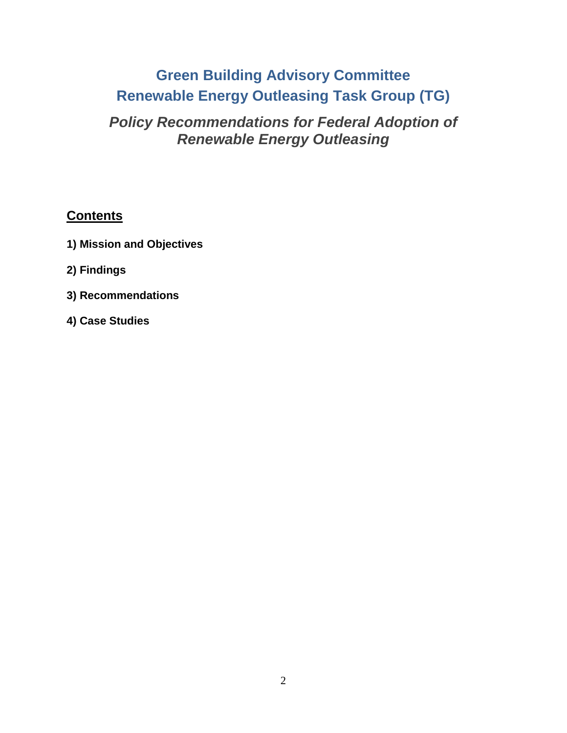# **Green Building Advisory Committee Renewable Energy Outleasing Task Group (TG)**

# *Policy Recommendations for Federal Adoption of Renewable Energy Outleasing*

### **Contents**

- **1) Mission and Objectives**
- **2) Findings**
- **3) Recommendations**
- **4) Case Studies**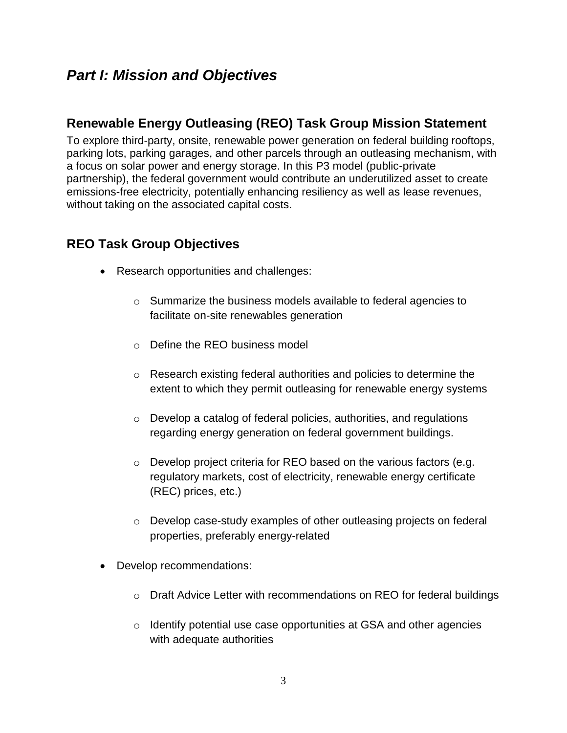## *Part I: Mission and Objectives*

### **Renewable Energy Outleasing (REO) Task Group Mission Statement**

To explore third-party, onsite, renewable power generation on federal building rooftops, parking lots, parking garages, and other parcels through an outleasing mechanism, with a focus on solar power and energy storage. In this P3 model (public-private partnership), the federal government would contribute an underutilized asset to create emissions-free electricity, potentially enhancing resiliency as well as lease revenues, without taking on the associated capital costs.

### **REO Task Group Objectives**

- Research opportunities and challenges:
	- o Summarize the business models available to federal agencies to facilitate on-site renewables generation
	- o Define the REO business model
	- o Research existing federal authorities and policies to determine the extent to which they permit outleasing for renewable energy systems
	- o Develop a catalog of federal policies, authorities, and regulations regarding energy generation on federal government buildings.
	- o Develop project criteria for REO based on the various factors (e.g. regulatory markets, cost of electricity, renewable energy certificate (REC) prices, etc.)
	- o Develop case-study examples of other outleasing projects on federal properties, preferably energy-related
- Develop recommendations:
	- o Draft Advice Letter with recommendations on REO for federal buildings
	- o Identify potential use case opportunities at GSA and other agencies with adequate authorities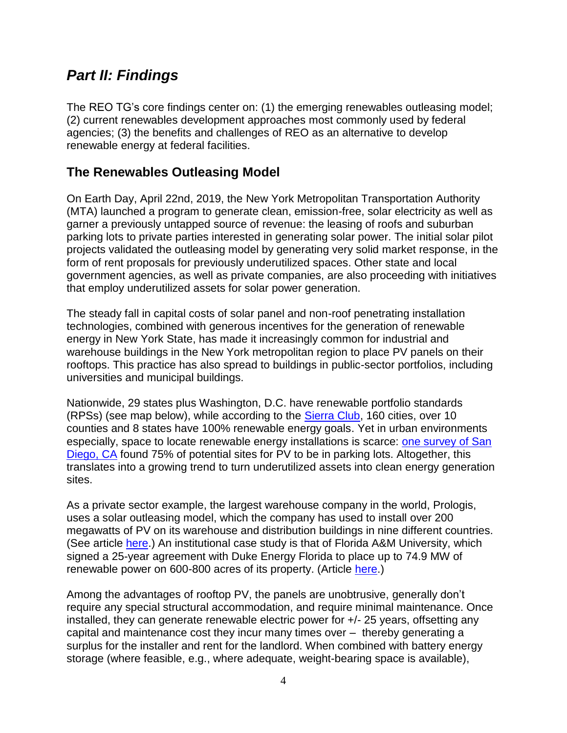# *Part II: Findings*

The REO TG's core findings center on: (1) the emerging renewables outleasing model; (2) current renewables development approaches most commonly used by federal agencies; (3) the benefits and challenges of REO as an alternative to develop renewable energy at federal facilities.

### **The Renewables Outleasing Model**

On Earth Day, April 22nd, 2019, the New York Metropolitan Transportation Authority (MTA) launched a program to generate clean, emission-free, solar electricity as well as garner a previously untapped source of revenue: the leasing of roofs and suburban parking lots to private parties interested in generating solar power. The initial solar pilot projects validated the outleasing model by generating very solid market response, in the form of rent proposals for previously underutilized spaces. Other state and local government agencies, as well as private companies, are also proceeding with initiatives that employ underutilized assets for solar power generation.

The steady fall in capital costs of solar panel and non-roof penetrating installation technologies, combined with generous incentives for the generation of renewable energy in New York State, has made it increasingly common for industrial and warehouse buildings in the New York metropolitan region to place PV panels on their rooftops. This practice has also spread to buildings in public-sector portfolios, including universities and municipal buildings.

Nationwide, 29 states plus Washington, D.C. have renewable portfolio standards (RPSs) (see map below), while according to the [Sierra Club,](https://www.sierraclub.org/ready-for-100/commitments) 160 cities, over 10 counties and 8 states have 100% renewable energy goals. Yet in urban environments especially, space to locate renewable energy installations is scarce: [one survey of San](https://clean-coalition.org/solar-siting-survey-san-diego/)  [Diego, CA](https://clean-coalition.org/solar-siting-survey-san-diego/) found 75% of potential sites for PV to be in parking lots. Altogether, this translates into a growing trend to turn underutilized assets into clean energy generation sites.

As a private sector example, the largest warehouse company in the world, Prologis, uses a solar outleasing model, which the company has used to install over 200 megawatts of PV on its warehouse and distribution buildings in nine different countries. (See article [here.](https://www.aiche.org/chenected/2016/02/prologis-makes-mint-selling-utility-scale-solar-power-without-investing-dime)) An institutional case study is that of Florida A&M University, which signed a 25-year agreement with Duke Energy Florida to place up to 74.9 MW of renewable power on 600-800 acres of its property. (Article [here.](https://www.renewableenergymagazine.com/pv_solar/famu-and-duke-energy-partner-on-solar-20190311))

Among the advantages of rooftop PV, the panels are unobtrusive, generally don't require any special structural accommodation, and require minimal maintenance. Once installed, they can generate renewable electric power for +/- 25 years, offsetting any capital and maintenance cost they incur many times over – thereby generating a surplus for the installer and rent for the landlord. When combined with battery energy storage (where feasible, e.g., where adequate, weight-bearing space is available),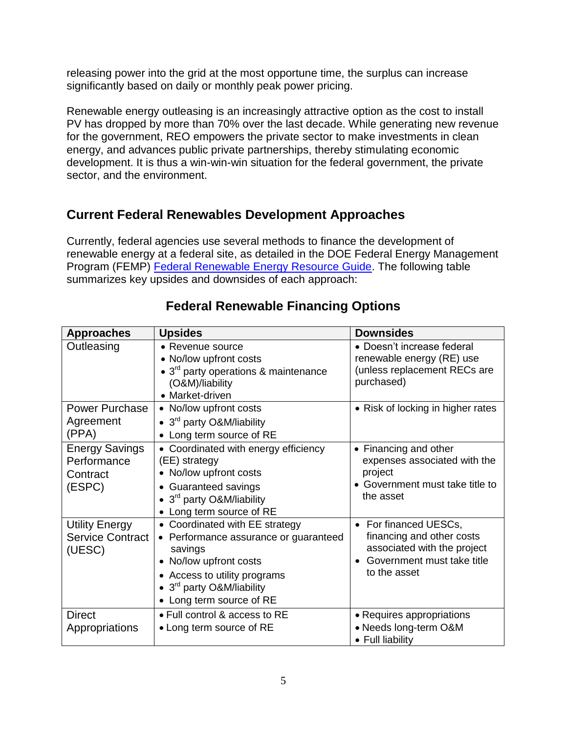releasing power into the grid at the most opportune time, the surplus can increase significantly based on daily or monthly peak power pricing.

Renewable energy outleasing is an increasingly attractive option as the cost to install PV has dropped by more than 70% over the last decade. While generating new revenue for the government, REO empowers the private sector to make investments in clean energy, and advances public private partnerships, thereby stimulating economic development. It is thus a win-win-win situation for the federal government, the private sector, and the environment.

### **Current Federal Renewables Development Approaches**

Currently, federal agencies use several methods to finance the development of renewable energy at a federal site, as detailed in the DOE Federal Energy Management Program (FEMP) [Federal Renewable Energy Resource Guide.](https://www.energy.gov/eere/femp/federal-renewable-energy-requirements-epact-2005-203-and-executive-order-13834-renewable) The following table summarizes key upsides and downsides of each approach:

| <b>Approaches</b>                                          | <b>Upsides</b>                                                                                                                                                                                                                                                                                                                             | <b>Downsides</b>                                                                                               |
|------------------------------------------------------------|--------------------------------------------------------------------------------------------------------------------------------------------------------------------------------------------------------------------------------------------------------------------------------------------------------------------------------------------|----------------------------------------------------------------------------------------------------------------|
| Outleasing                                                 | • Revenue source<br>• No/low upfront costs<br>• $3rd$ party operations & maintenance<br>(O&M)/liability<br>• Market-driven                                                                                                                                                                                                                 | • Doesn't increase federal<br>renewable energy (RE) use<br>(unless replacement RECs are<br>purchased)          |
| <b>Power Purchase</b><br>Agreement<br>(PPA)                | • Risk of locking in higher rates<br>• No/low upfront costs<br>• $3rd$ party O&M/liability<br>• Long term source of RE                                                                                                                                                                                                                     |                                                                                                                |
| <b>Energy Savings</b><br>Performance<br>Contract<br>(ESPC) | • Coordinated with energy efficiency<br>(EE) strategy<br>• No/low upfront costs<br>• Guaranteed savings<br>• 3 <sup>rd</sup> party O&M/liability<br>• Long term source of RE                                                                                                                                                               | • Financing and other<br>expenses associated with the<br>project<br>Government must take title to<br>the asset |
| <b>Utility Energy</b><br><b>Service Contract</b><br>(UESC) | • Coordinated with EE strategy<br>• For financed UESCs,<br>financing and other costs<br>• Performance assurance or guaranteed<br>associated with the project<br>savings<br>Government must take title<br>• No/low upfront costs<br>to the asset<br>• Access to utility programs<br>• $3rd$ party O&M/liability<br>• Long term source of RE |                                                                                                                |
| <b>Direct</b><br>Appropriations                            | • Full control & access to RE<br>• Long term source of RE                                                                                                                                                                                                                                                                                  | • Requires appropriations<br>• Needs long-term O&M<br>• Full liability                                         |

## **Federal Renewable Financing Options**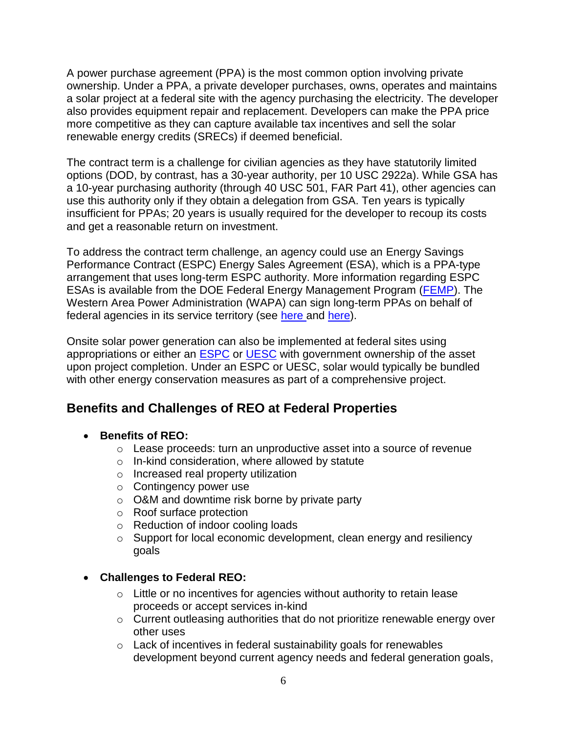A power purchase agreement (PPA) is the most common option involving private ownership. Under a PPA, a private developer purchases, owns, operates and maintains a solar project at a federal site with the agency purchasing the electricity. The developer also provides equipment repair and replacement. Developers can make the PPA price more competitive as they can capture available tax incentives and sell the solar renewable energy credits (SRECs) if deemed beneficial.

The contract term is a challenge for civilian agencies as they have statutorily limited options (DOD, by contrast, has a 30-year authority, per 10 USC 2922a). While GSA has a 10-year purchasing authority (through 40 USC 501, FAR Part 41), other agencies can use this authority only if they obtain a delegation from GSA. Ten years is typically insufficient for PPAs; 20 years is usually required for the developer to recoup its costs and get a reasonable return on investment.

To address the contract term challenge, an agency could use an Energy Savings Performance Contract (ESPC) Energy Sales Agreement (ESA), which is a PPA-type arrangement that uses long-term ESPC authority. More information regarding ESPC ESAs is available from the DOE Federal Energy Management Program [\(FEMP\)](https://www.energy.gov/eere/femp/energy-savings-performance-contract-energy-sales-agreements). The Western Area Power Administration (WAPA) can sign long-term PPAs on behalf of federal agencies in its service territory (see [here](https://www.wapa.gov/Renewables/ForFederalAgencies/Pages/federal-agencies.aspx) and [here\)](https://www.wapa.gov/Renewables/ForFederalAgencies/Pages/products-services.aspx#generated).

Onsite solar power generation can also be implemented at federal sites using appropriations or either an [ESPC](https://www.energy.gov/eere/femp/energy-savings-performance-contracts-federal-agencies) or [UESC](https://www.energy.gov/eere/femp/utility-energy-service-contracts-federal-agencies) with government ownership of the asset upon project completion. Under an ESPC or UESC, solar would typically be bundled with other energy conservation measures as part of a comprehensive project.

## **Benefits and Challenges of REO at Federal Properties**

### **Benefits of REO:**

- o Lease proceeds: turn an unproductive asset into a source of revenue
- o In-kind consideration, where allowed by statute
- o Increased real property utilization
- o Contingency power use
- o O&M and downtime risk borne by private party
- o Roof surface protection
- o Reduction of indoor cooling loads
- o Support for local economic development, clean energy and resiliency goals

### **Challenges to Federal REO:**

- $\circ$  Little or no incentives for agencies without authority to retain lease proceeds or accept services in-kind
- o Current outleasing authorities that do not prioritize renewable energy over other uses
- $\circ$  Lack of incentives in federal sustainability goals for renewables development beyond current agency needs and federal generation goals,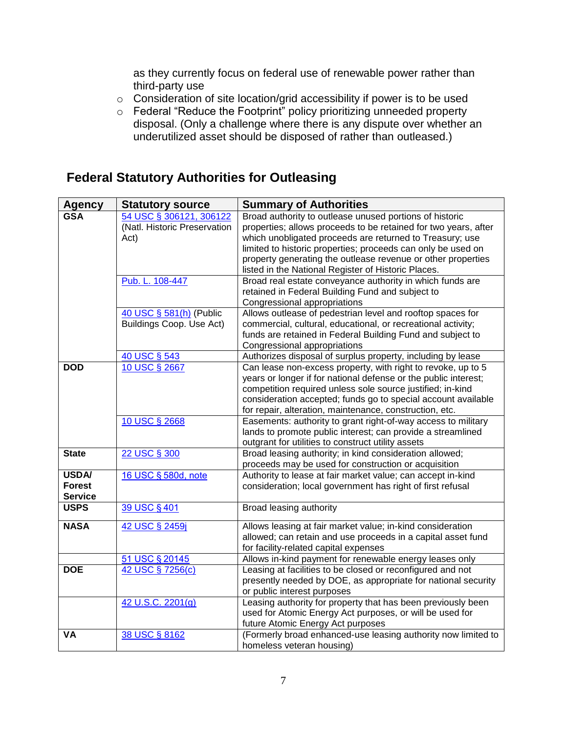as they currently focus on federal use of renewable power rather than third-party use

- o Consideration of site location/grid accessibility if power is to be used
- o Federal "Reduce the Footprint" policy prioritizing unneeded property disposal. (Only a challenge where there is any dispute over whether an underutilized asset should be disposed of rather than outleased.)

### **Federal Statutory Authorities for Outleasing**

| <b>Agency</b>  | <b>Statutory source</b>      | <b>Summary of Authorities</b>                                                                                       |
|----------------|------------------------------|---------------------------------------------------------------------------------------------------------------------|
| <b>GSA</b>     | 54 USC § 306121, 306122      | Broad authority to outlease unused portions of historic                                                             |
|                | (Natl. Historic Preservation | properties; allows proceeds to be retained for two years, after                                                     |
|                | Act)                         | which unobligated proceeds are returned to Treasury; use                                                            |
|                |                              | limited to historic properties; proceeds can only be used on                                                        |
|                |                              | property generating the outlease revenue or other properties                                                        |
|                |                              | listed in the National Register of Historic Places.                                                                 |
|                | Pub. L. 108-447              | Broad real estate conveyance authority in which funds are                                                           |
|                |                              | retained in Federal Building Fund and subject to                                                                    |
|                |                              | Congressional appropriations                                                                                        |
|                | 40 USC § 581(h) (Public      | Allows outlease of pedestrian level and rooftop spaces for                                                          |
|                | Buildings Coop. Use Act)     | commercial, cultural, educational, or recreational activity;                                                        |
|                |                              | funds are retained in Federal Building Fund and subject to                                                          |
|                |                              | Congressional appropriations                                                                                        |
|                | 40 USC § 543                 | Authorizes disposal of surplus property, including by lease                                                         |
| <b>DOD</b>     | 10 USC § 2667                | Can lease non-excess property, with right to revoke, up to 5                                                        |
|                |                              | years or longer if for national defense or the public interest;                                                     |
|                |                              | competition required unless sole source justified; in-kind                                                          |
|                |                              | consideration accepted; funds go to special account available                                                       |
|                |                              | for repair, alteration, maintenance, construction, etc.                                                             |
|                | 10 USC § 2668                | Easements: authority to grant right-of-way access to military                                                       |
|                |                              | lands to promote public interest; can provide a streamlined                                                         |
|                |                              | outgrant for utilities to construct utility assets                                                                  |
| <b>State</b>   | 22 USC § 300                 | Broad leasing authority; in kind consideration allowed;                                                             |
| <b>USDA/</b>   | 16 USC § 580d, note          | proceeds may be used for construction or acquisition<br>Authority to lease at fair market value; can accept in-kind |
| <b>Forest</b>  |                              | consideration; local government has right of first refusal                                                          |
| <b>Service</b> |                              |                                                                                                                     |
| <b>USPS</b>    | 39 USC § 401                 | Broad leasing authority                                                                                             |
|                |                              |                                                                                                                     |
| <b>NASA</b>    | 42 USC § 2459j               | Allows leasing at fair market value; in-kind consideration                                                          |
|                |                              | allowed; can retain and use proceeds in a capital asset fund                                                        |
|                |                              | for facility-related capital expenses                                                                               |
|                | 51 USC § 20145               | Allows in-kind payment for renewable energy leases only                                                             |
| <b>DOE</b>     | 42 USC § 7256(c)             | Leasing at facilities to be closed or reconfigured and not                                                          |
|                |                              | presently needed by DOE, as appropriate for national security                                                       |
|                |                              | or public interest purposes                                                                                         |
|                | 42 U.S.C. 2201(g)            | Leasing authority for property that has been previously been                                                        |
|                |                              | used for Atomic Energy Act purposes, or will be used for                                                            |
|                |                              | future Atomic Energy Act purposes                                                                                   |
| ٧A             | 38 USC § 8162                | (Formerly broad enhanced-use leasing authority now limited to                                                       |
|                |                              | homeless veteran housing)                                                                                           |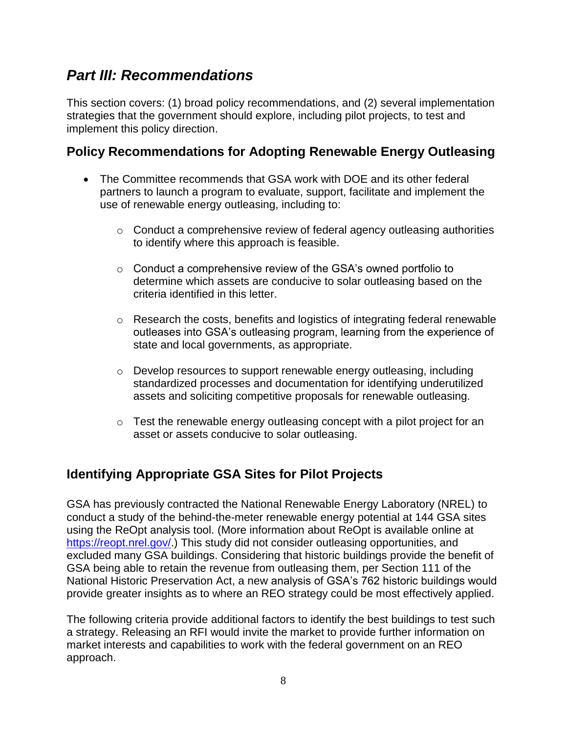# *Part III: Recommendations*

This section covers: (1) broad policy recommendations, and (2) several implementation strategies that the government should explore, including pilot projects, to test and implement this policy direction.

### **Policy Recommendations for Adopting Renewable Energy Outleasing**

- The Committee recommends that GSA work with DOE and its other federal partners to launch a program to evaluate, support, facilitate and implement the use of renewable energy outleasing, including to:
	- $\circ$  Conduct a comprehensive review of federal agency outleasing authorities to identify where this approach is feasible.
	- o Conduct a comprehensive review of the GSA's owned portfolio to determine which assets are conducive to solar outleasing based on the criteria identified in this letter.
	- o Research the costs, benefits and logistics of integrating federal renewable outleases into GSA's outleasing program, learning from the experience of state and local governments, as appropriate.
	- $\circ$  Develop resources to support renewable energy outleasing, including standardized processes and documentation for identifying underutilized assets and soliciting competitive proposals for renewable outleasing.
	- o Test the renewable energy outleasing concept with a pilot project for an asset or assets conducive to solar outleasing.

## **Identifying Appropriate GSA Sites for Pilot Projects**

GSA has previously contracted the National Renewable Energy Laboratory (NREL) to conduct a study of the behind-the-meter renewable energy potential at 144 GSA sites using the ReOpt analysis tool. (More information about ReOpt is available online at [https://reopt.nrel.gov/.](https://reopt.nrel.gov/)) This study did not consider outleasing opportunities, and excluded many GSA buildings. Considering that historic buildings provide the benefit of GSA being able to retain the revenue from outleasing them, per Section 111 of the National Historic Preservation Act, a new analysis of GSA's 762 historic buildings would provide greater insights as to where an REO strategy could be most effectively applied.

The following criteria provide additional factors to identify the best buildings to test such a strategy. Releasing an RFI would invite the market to provide further information on market interests and capabilities to work with the federal government on an REO approach.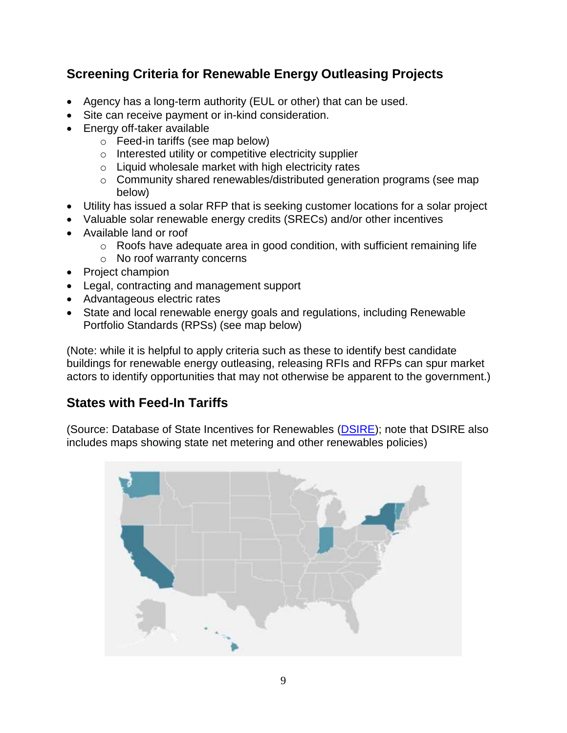## **Screening Criteria for Renewable Energy Outleasing Projects**

- Agency has a long-term authority (EUL or other) that can be used.
- Site can receive payment or in-kind consideration.
- Energy off-taker available
	- o Feed-in tariffs (see map below)
	- o Interested utility or competitive electricity supplier
	- $\circ$  Liquid wholesale market with high electricity rates
	- o Community shared renewables/distributed generation programs (see map below)
- Utility has issued a solar RFP that is seeking customer locations for a solar project
- Valuable solar renewable energy credits (SRECs) and/or other incentives
- Available land or roof
	- o Roofs have adequate area in good condition, with sufficient remaining life
	- o No roof warranty concerns
- Project champion
- Legal, contracting and management support
- Advantageous electric rates
- State and local renewable energy goals and regulations, including Renewable Portfolio Standards (RPSs) (see map below)

(Note: while it is helpful to apply criteria such as these to identify best candidate buildings for renewable energy outleasing, releasing RFIs and RFPs can spur market actors to identify opportunities that may not otherwise be apparent to the government.)

### **States with Feed-In Tariffs**

(Source: Database of State Incentives for Renewables [\(DSIRE\)](https://programs.dsireusa.org/system/program/maps); note that DSIRE also includes maps showing state net metering and other renewables policies)

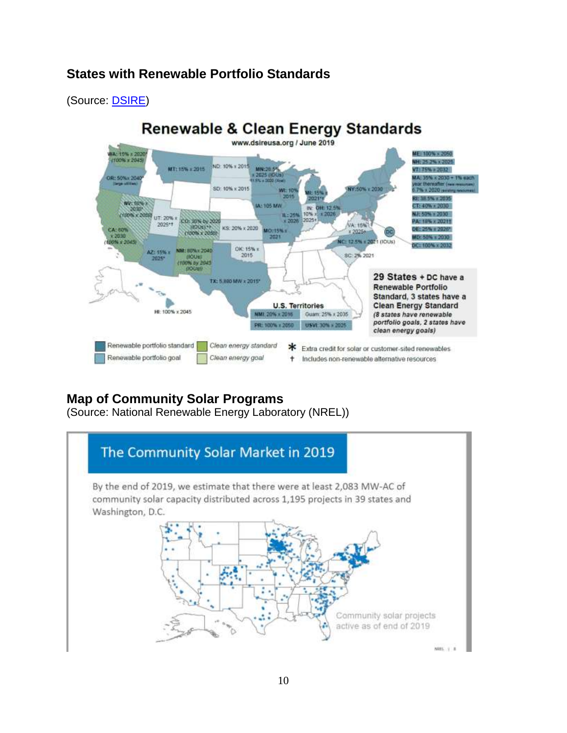### **States with Renewable Portfolio Standards**

(Source: **DSIRE**)



## **Map of Community Solar Programs**

(Source: National Renewable Energy Laboratory (NREL))

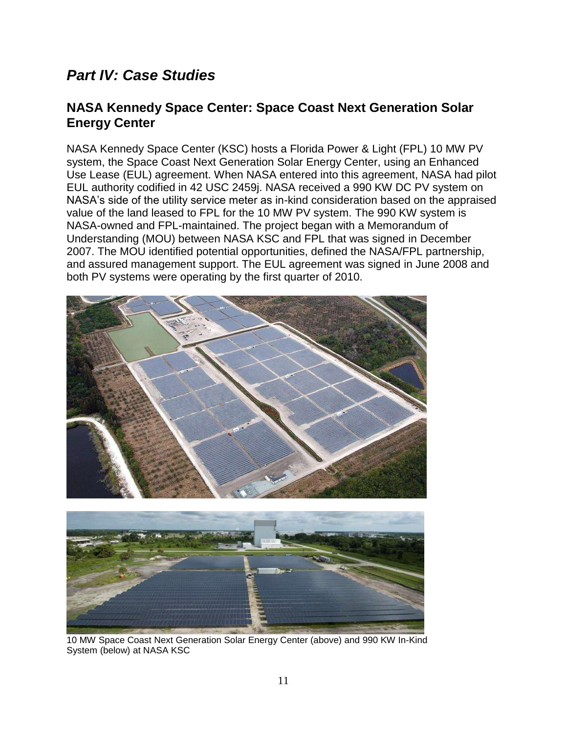# *Part IV: Case Studies*

### **NASA Kennedy Space Center: Space Coast Next Generation Solar Energy Center**

NASA Kennedy Space Center (KSC) hosts a Florida Power & Light (FPL) 10 MW PV system, the Space Coast Next Generation Solar Energy Center, using an Enhanced Use Lease (EUL) agreement. When NASA entered into this agreement, NASA had pilot EUL authority codified in 42 USC 2459j. NASA received a 990 KW DC PV system on NASA's side of the utility service meter as in-kind consideration based on the appraised value of the land leased to FPL for the 10 MW PV system. The 990 KW system is NASA-owned and FPL-maintained. The project began with a Memorandum of Understanding (MOU) between NASA KSC and FPL that was signed in December 2007. The MOU identified potential opportunities, defined the NASA/FPL partnership, and assured management support. The EUL agreement was signed in June 2008 and both PV systems were operating by the first quarter of 2010.





10 MW Space Coast Next Generation Solar Energy Center (above) and 990 KW In-Kind System (below) at NASA KSC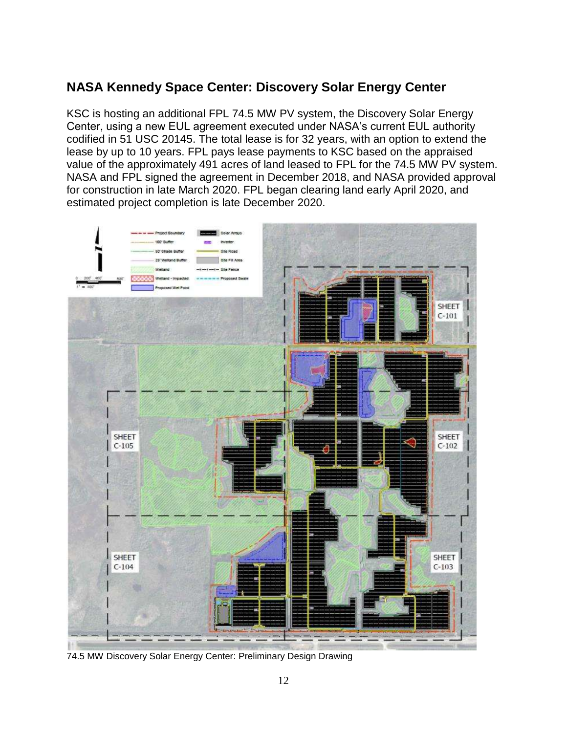## **NASA Kennedy Space Center: Discovery Solar Energy Center**

KSC is hosting an additional FPL 74.5 MW PV system, the Discovery Solar Energy Center, using a new EUL agreement executed under NASA's current EUL authority codified in 51 USC 20145. The total lease is for 32 years, with an option to extend the lease by up to 10 years. FPL pays lease payments to KSC based on the appraised value of the approximately 491 acres of land leased to FPL for the 74.5 MW PV system. NASA and FPL signed the agreement in December 2018, and NASA provided approval for construction in late March 2020. FPL began clearing land early April 2020, and estimated project completion is late December 2020.



74.5 MW Discovery Solar Energy Center: Preliminary Design Drawing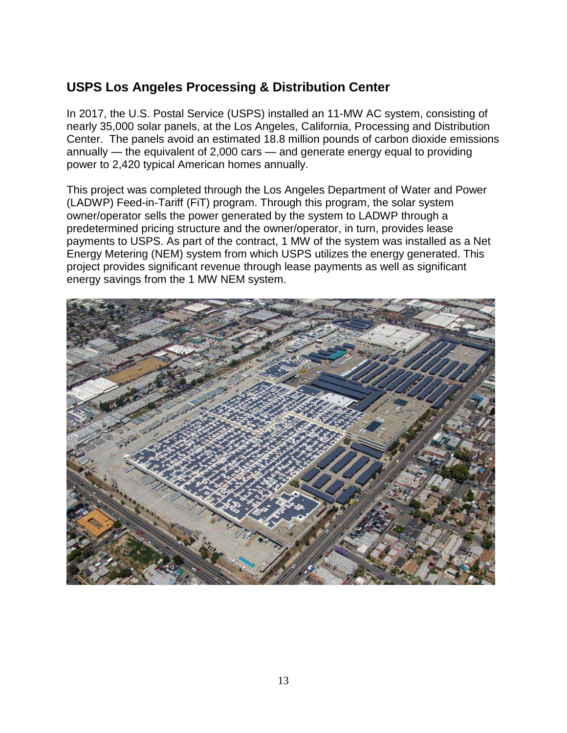## **USPS Los Angeles Processing & Distribution Center**

In 2017, the U.S. Postal Service (USPS) installed an 11-MW AC system, consisting of nearly 35,000 solar panels, at the Los Angeles, California, Processing and Distribution Center. The panels avoid an estimated 18.8 million pounds of carbon dioxide emissions annually — the equivalent of 2,000 cars — and generate energy equal to providing power to 2,420 typical American homes annually.

This project was completed through the Los Angeles Department of Water and Power (LADWP) Feed-in-Tariff (FiT) program. Through this program, the solar system owner/operator sells the power generated by the system to LADWP through a predetermined pricing structure and the owner/operator, in turn, provides lease payments to USPS. As part of the contract, 1 MW of the system was installed as a Net Energy Metering (NEM) system from which USPS utilizes the energy generated. This project provides significant revenue through lease payments as well as significant energy savings from the 1 MW NEM system.